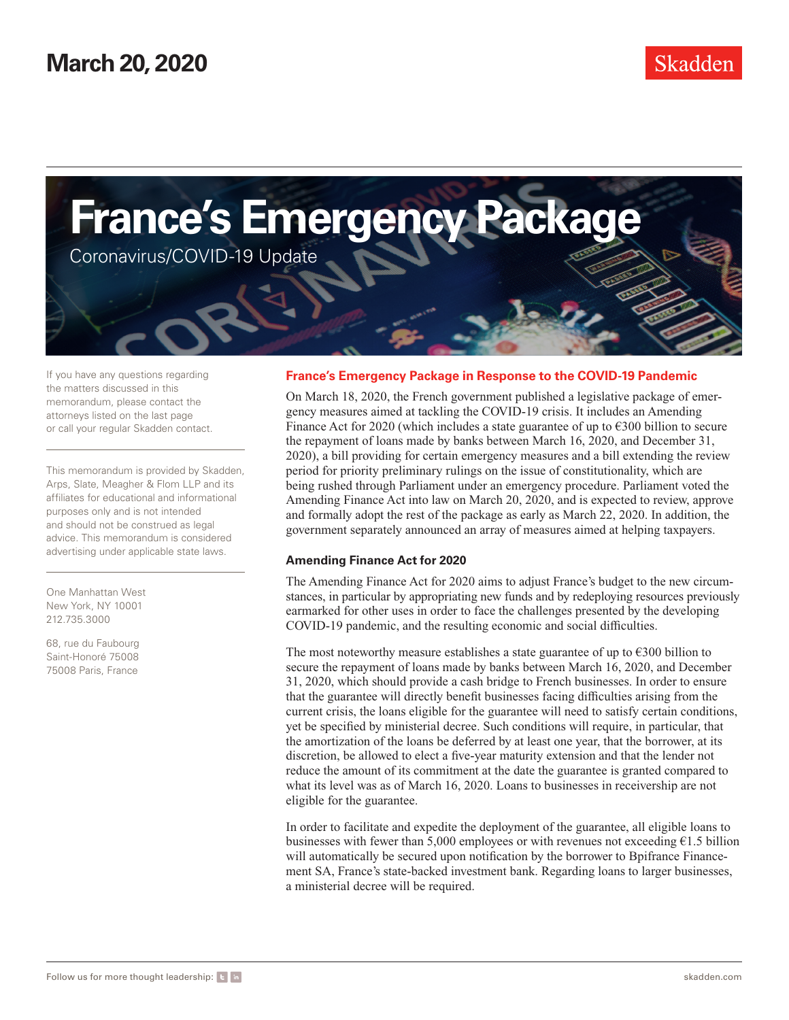

If you have any questions regarding the matters discussed in this memorandum, please contact the attorneys listed on the last page or call your regular Skadden contact.

This memorandum is provided by Skadden, Arps, Slate, Meagher & Flom LLP and its affiliates for educational and informational purposes only and is not intended and should not be construed as legal advice. This memorandum is considered advertising under applicable state laws.

One Manhattan West New York, NY 10001 212.735.3000

68, rue du Faubourg Saint-Honoré 75008 75008 Paris, France

# **France's Emergency Package in Response to the COVID-19 Pandemic**

On March 18, 2020, the French government published a legislative package of emergency measures aimed at tackling the COVID-19 crisis. It includes an Amending Finance Act for 2020 (which includes a state guarantee of up to  $\epsilon$ 300 billion to secure the repayment of loans made by banks between March 16, 2020, and December 31, 2020), a bill providing for certain emergency measures and a bill extending the review period for priority preliminary rulings on the issue of constitutionality, which are being rushed through Parliament under an emergency procedure. Parliament voted the Amending Finance Act into law on March 20, 2020, and is expected to review, approve and formally adopt the rest of the package as early as March 22, 2020. In addition, the government separately announced an array of measures aimed at helping taxpayers.

## **Amending Finance Act for 2020**

The Amending Finance Act for 2020 aims to adjust France's budget to the new circumstances, in particular by appropriating new funds and by redeploying resources previously earmarked for other uses in order to face the challenges presented by the developing COVID-19 pandemic, and the resulting economic and social difficulties.

The most noteworthy measure establishes a state guarantee of up to  $\epsilon$ 300 billion to secure the repayment of loans made by banks between March 16, 2020, and December 31, 2020, which should provide a cash bridge to French businesses. In order to ensure that the guarantee will directly benefit businesses facing difficulties arising from the current crisis, the loans eligible for the guarantee will need to satisfy certain conditions, yet be specified by ministerial decree. Such conditions will require, in particular, that the amortization of the loans be deferred by at least one year, that the borrower, at its discretion, be allowed to elect a five-year maturity extension and that the lender not reduce the amount of its commitment at the date the guarantee is granted compared to what its level was as of March 16, 2020. Loans to businesses in receivership are not eligible for the guarantee.

In order to facilitate and expedite the deployment of the guarantee, all eligible loans to businesses with fewer than 5,000 employees or with revenues not exceeding €1.5 billion will automatically be secured upon notification by the borrower to Bpifrance Financement SA, France's state-backed investment bank. Regarding loans to larger businesses, a ministerial decree will be required.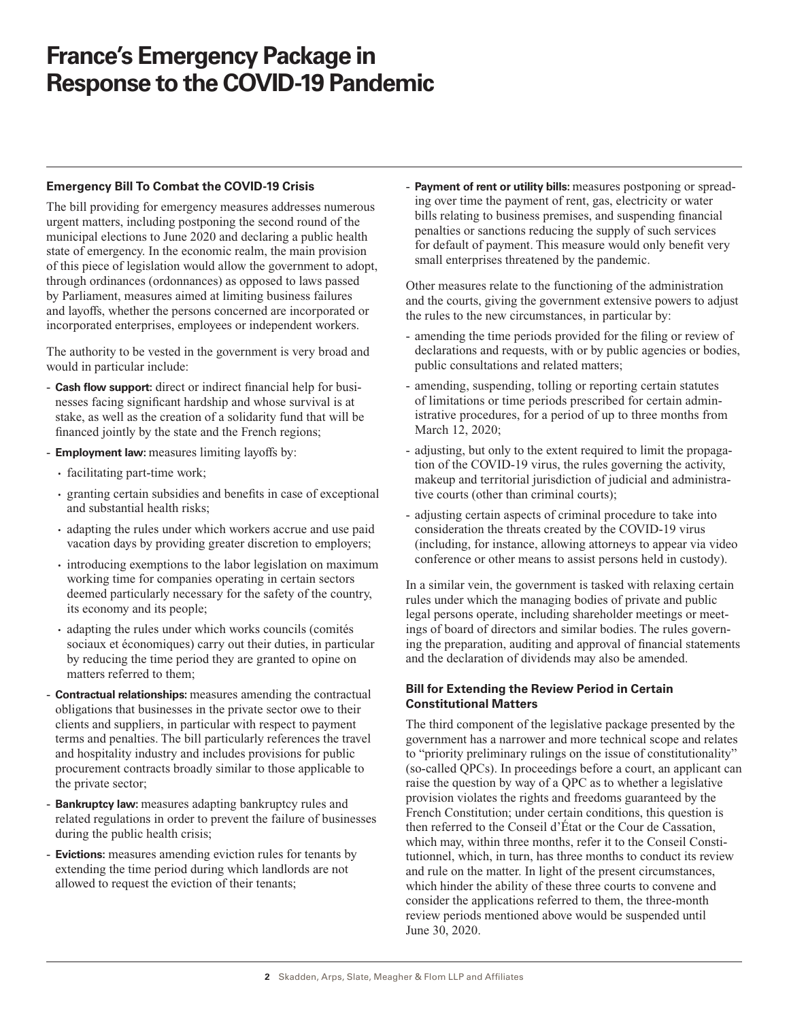# **France's Emergency Package in Response to the COVID-19 Pandemic**

### **Emergency Bill To Combat the COVID-19 Crisis**

The bill providing for emergency measures addresses numerous urgent matters, including postponing the second round of the municipal elections to June 2020 and declaring a public health state of emergency. In the economic realm, the main provision of this piece of legislation would allow the government to adopt, through ordinances (ordonnances) as opposed to laws passed by Parliament, measures aimed at limiting business failures and layoffs, whether the persons concerned are incorporated or incorporated enterprises, employees or independent workers.

The authority to be vested in the government is very broad and would in particular include:

- **Cash flow support:** direct or indirect financial help for businesses facing significant hardship and whose survival is at stake, as well as the creation of a solidarity fund that will be financed jointly by the state and the French regions;
- **Employment law:** measures limiting layoffs by:
	- facilitating part-time work;
	- granting certain subsidies and benefits in case of exceptional and substantial health risks;
	- adapting the rules under which workers accrue and use paid vacation days by providing greater discretion to employers;
	- introducing exemptions to the labor legislation on maximum working time for companies operating in certain sectors deemed particularly necessary for the safety of the country, its economy and its people;
	- adapting the rules under which works councils (comités sociaux et économiques) carry out their duties, in particular by reducing the time period they are granted to opine on matters referred to them;
- **Contractual relationships:** measures amending the contractual obligations that businesses in the private sector owe to their clients and suppliers, in particular with respect to payment terms and penalties. The bill particularly references the travel and hospitality industry and includes provisions for public procurement contracts broadly similar to those applicable to the private sector;
- **Bankruptcy law:** measures adapting bankruptcy rules and related regulations in order to prevent the failure of businesses during the public health crisis;
- **Evictions:** measures amending eviction rules for tenants by extending the time period during which landlords are not allowed to request the eviction of their tenants;

- **Payment of rent or utility bills:** measures postponing or spreading over time the payment of rent, gas, electricity or water bills relating to business premises, and suspending financial penalties or sanctions reducing the supply of such services for default of payment. This measure would only benefit very small enterprises threatened by the pandemic.

Other measures relate to the functioning of the administration and the courts, giving the government extensive powers to adjust the rules to the new circumstances, in particular by:

- amending the time periods provided for the filing or review of declarations and requests, with or by public agencies or bodies, public consultations and related matters;
- amending, suspending, tolling or reporting certain statutes of limitations or time periods prescribed for certain administrative procedures, for a period of up to three months from March 12, 2020;
- adjusting, but only to the extent required to limit the propagation of the COVID-19 virus, the rules governing the activity, makeup and territorial jurisdiction of judicial and administrative courts (other than criminal courts);
- adjusting certain aspects of criminal procedure to take into consideration the threats created by the COVID-19 virus (including, for instance, allowing attorneys to appear via video conference or other means to assist persons held in custody).

In a similar vein, the government is tasked with relaxing certain rules under which the managing bodies of private and public legal persons operate, including shareholder meetings or meetings of board of directors and similar bodies. The rules governing the preparation, auditing and approval of financial statements and the declaration of dividends may also be amended.

## **Bill for Extending the Review Period in Certain Constitutional Matters**

The third component of the legislative package presented by the government has a narrower and more technical scope and relates to "priority preliminary rulings on the issue of constitutionality" (so-called QPCs). In proceedings before a court, an applicant can raise the question by way of a QPC as to whether a legislative provision violates the rights and freedoms guaranteed by the French Constitution; under certain conditions, this question is then referred to the Conseil d'État or the Cour de Cassation, which may, within three months, refer it to the Conseil Constitutionnel, which, in turn, has three months to conduct its review and rule on the matter. In light of the present circumstances, which hinder the ability of these three courts to convene and consider the applications referred to them, the three-month review periods mentioned above would be suspended until June 30, 2020.